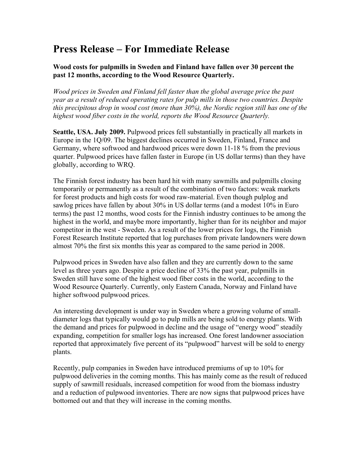## **Press Release – For Immediate Release**

## **Wood costs for pulpmills in Sweden and Finland have fallen over 30 percent the past 12 months, according to the Wood Resource Quarterly.**

*Wood prices in Sweden and Finland fell faster than the global average price the past year as a result of reduced operating rates for pulp mills in those two countries. Despite this precipitous drop in wood cost (more than 30%), the Nordic region still has one of the highest wood fiber costs in the world, reports the Wood Resource Quarterly.* 

**Seattle, USA. July 2009.** Pulpwood prices fell substantially in practically all markets in Europe in the 1Q/09. The biggest declines occurred in Sweden, Finland, France and Germany, where softwood and hardwood prices were down 11-18 % from the previous quarter. Pulpwood prices have fallen faster in Europe (in US dollar terms) than they have globally, according to WRQ.

The Finnish forest industry has been hard hit with many sawmills and pulpmills closing temporarily or permanently as a result of the combination of two factors: weak markets for forest products and high costs for wood raw-material. Even though pulplog and sawlog prices have fallen by about 30% in US dollar terms (and a modest 10% in Euro terms) the past 12 months, wood costs for the Finnish industry continues to be among the highest in the world, and maybe more importantly, higher than for its neighbor and major competitor in the west - Sweden. As a result of the lower prices for logs, the Finnish Forest Research Institute reported that log purchases from private landowners were down almost 70% the first six months this year as compared to the same period in 2008.

Pulpwood prices in Sweden have also fallen and they are currently down to the same level as three years ago. Despite a price decline of 33% the past year, pulpmills in Sweden still have some of the highest wood fiber costs in the world, according to the Wood Resource Quarterly. Currently, only Eastern Canada, Norway and Finland have higher softwood pulpwood prices.

An interesting development is under way in Sweden where a growing volume of smalldiameter logs that typically would go to pulp mills are being sold to energy plants. With the demand and prices for pulpwood in decline and the usage of "energy wood" steadily expanding, competition for smaller logs has increased. One forest landowner association reported that approximately five percent of its "pulpwood" harvest will be sold to energy plants.

Recently, pulp companies in Sweden have introduced premiums of up to 10% for pulpwood deliveries in the coming months. This has mainly come as the result of reduced supply of sawmill residuals, increased competition for wood from the biomass industry and a reduction of pulpwood inventories. There are now signs that pulpwood prices have bottomed out and that they will increase in the coming months.